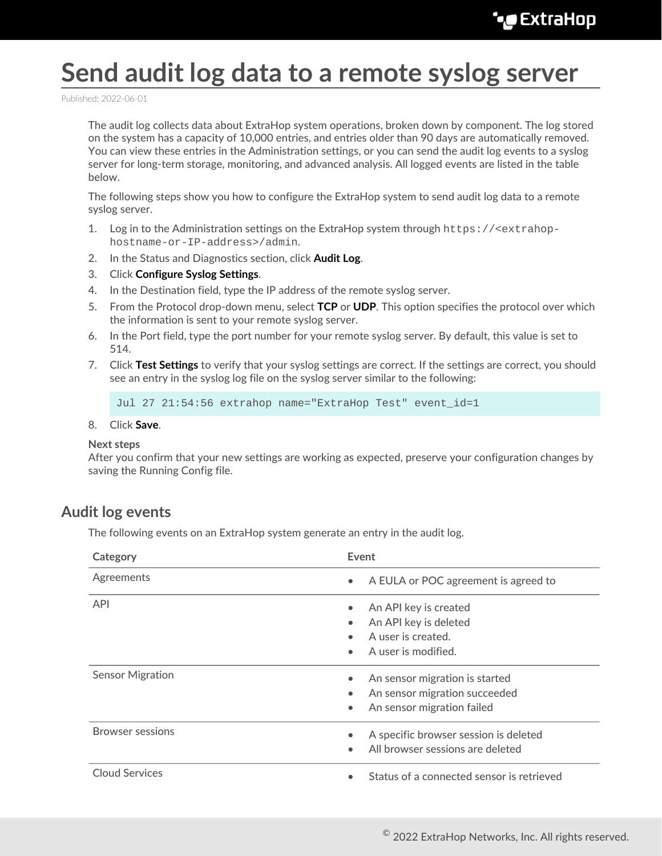## **Send audit log data to a remote syslog server**

Published: 2022-06-01

The audit log collects data about ExtraHop system operations, broken down by component. The log stored on the system has a capacity of 10,000 entries, and entries older than 90 days are automatically removed. You can view these entries in the Administration settings, or you can send the audit log events to a syslog server for long-term storage, monitoring, and advanced analysis. All logged events are listed in the table below.

The following steps show you how to configure the ExtraHop system to send audit log data to a remote syslog server.

- 1. Log in to the Administration settings on the ExtraHop system through https://<extrahophostname-or-IP-address>/admin.
- 2. In the Status and Diagnostics section, click **Audit Log**.
- 3. Click **Configure Syslog Settings**.
- 4. In the Destination field, type the IP address of the remote syslog server.
- 5. From the Protocol drop-down menu, select **TCP** or **UDP**. This option specifies the protocol over which the information is sent to your remote syslog server.
- 6. In the Port field, type the port number for your remote syslog server. By default, this value is set to 514.
- 7. Click **Test Settings** to verify that your syslog settings are correct. If the settings are correct, you should see an entry in the syslog log file on the syslog server similar to the following:

Jul 27 21:54:56 extrahop name="ExtraHop Test" event\_id=1

8. Click **Save**.

## **Next steps**

After you confirm that your new settings are working as expected, preserve your configuration changes by saving the Running Config file.

## **Audit log events**

The following events on an ExtraHop system generate an entry in the audit log.

| Category                | Event                                                                                  |
|-------------------------|----------------------------------------------------------------------------------------|
| Agreements              | A EULA or POC agreement is agreed to<br>$\bullet$                                      |
| <b>API</b>              | An API key is created                                                                  |
|                         | An API key is deleted                                                                  |
|                         | A user is created.                                                                     |
|                         | A user is modified.<br>$\bullet$                                                       |
| <b>Sensor Migration</b> | An sensor migration is started                                                         |
|                         | An sensor migration succeeded<br>$\bullet$                                             |
|                         | An sensor migration failed                                                             |
| <b>Browser sessions</b> | A specific browser session is deleted<br>All browser sessions are deleted<br>$\bullet$ |
| <b>Cloud Services</b>   | Status of a connected sensor is retrieved                                              |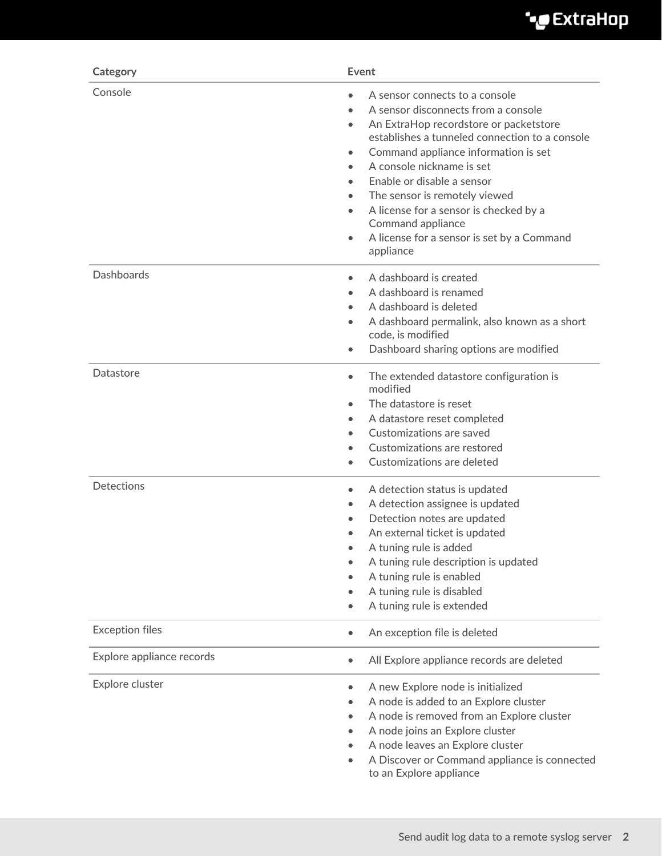

| Category                  | Event                                                                                                                                                                                                                                                                                                                                                                                                                                                                                            |
|---------------------------|--------------------------------------------------------------------------------------------------------------------------------------------------------------------------------------------------------------------------------------------------------------------------------------------------------------------------------------------------------------------------------------------------------------------------------------------------------------------------------------------------|
| Console                   | A sensor connects to a console<br>A sensor disconnects from a console<br>An ExtraHop recordstore or packetstore<br>$\bullet$<br>establishes a tunneled connection to a console<br>Command appliance information is set<br>$\bullet$<br>A console nickname is set<br>$\bullet$<br>Enable or disable a sensor<br>The sensor is remotely viewed<br>A license for a sensor is checked by a<br>$\bullet$<br>Command appliance<br>A license for a sensor is set by a Command<br>$\bullet$<br>appliance |
| <b>Dashboards</b>         | A dashboard is created<br>$\bullet$<br>A dashboard is renamed<br>A dashboard is deleted<br>$\bullet$<br>A dashboard permalink, also known as a short<br>$\bullet$<br>code, is modified<br>Dashboard sharing options are modified<br>$\bullet$                                                                                                                                                                                                                                                    |
| Datastore                 | The extended datastore configuration is<br>$\bullet$<br>modified<br>The datastore is reset<br>$\bullet$<br>A datastore reset completed<br>$\bullet$<br>Customizations are saved<br>$\bullet$<br>Customizations are restored<br>Customizations are deleted                                                                                                                                                                                                                                        |
| <b>Detections</b>         | A detection status is updated<br>$\bullet$<br>A detection assignee is updated<br>$\bullet$<br>Detection notes are updated<br>An external ticket is updated<br>A tuning rule is added<br>A tuning rule description is updated<br>A tuning rule is enabled<br>A tuning rule is disabled<br>A tuning rule is extended                                                                                                                                                                               |
| <b>Exception files</b>    | An exception file is deleted<br>$\bullet$                                                                                                                                                                                                                                                                                                                                                                                                                                                        |
| Explore appliance records | All Explore appliance records are deleted<br>$\bullet$                                                                                                                                                                                                                                                                                                                                                                                                                                           |
| Explore cluster           | A new Explore node is initialized<br>$\bullet$<br>A node is added to an Explore cluster<br>A node is removed from an Explore cluster<br>$\bullet$<br>A node joins an Explore cluster<br>A node leaves an Explore cluster<br>A Discover or Command appliance is connected<br>to an Explore appliance                                                                                                                                                                                              |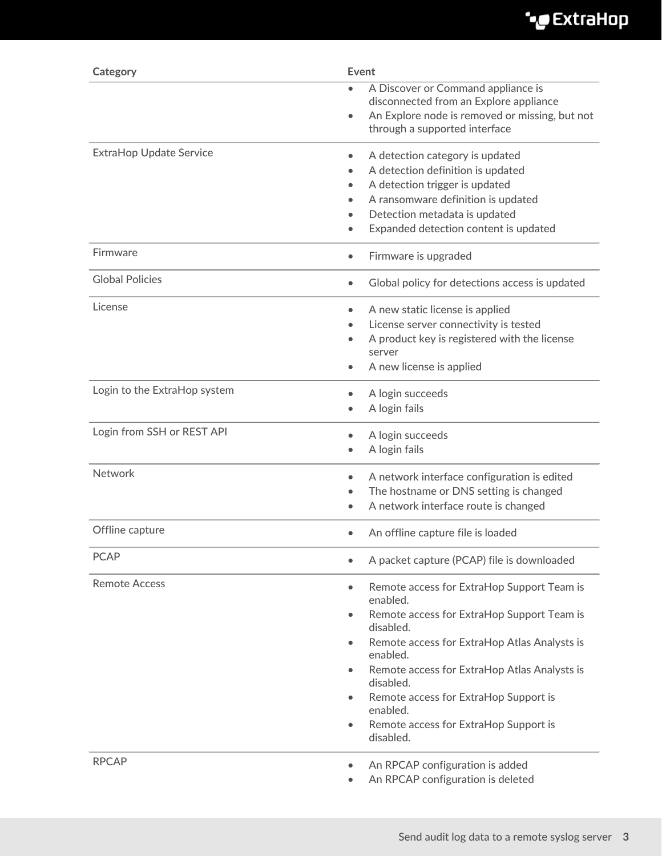| Category                       | Event                                                                                                                                                                                                                                                                                                                                                                                                                               |
|--------------------------------|-------------------------------------------------------------------------------------------------------------------------------------------------------------------------------------------------------------------------------------------------------------------------------------------------------------------------------------------------------------------------------------------------------------------------------------|
|                                | A Discover or Command appliance is<br>disconnected from an Explore appliance<br>An Explore node is removed or missing, but not<br>$\bullet$<br>through a supported interface                                                                                                                                                                                                                                                        |
| <b>ExtraHop Update Service</b> | A detection category is updated<br>$\bullet$<br>A detection definition is updated<br>$\bullet$<br>A detection trigger is updated<br>$\bullet$<br>A ransomware definition is updated<br>$\bullet$<br>Detection metadata is updated<br>$\bullet$<br>Expanded detection content is updated<br>$\bullet$                                                                                                                                |
| Firmware                       | Firmware is upgraded<br>$\bullet$                                                                                                                                                                                                                                                                                                                                                                                                   |
| <b>Global Policies</b>         | Global policy for detections access is updated<br>$\bullet$                                                                                                                                                                                                                                                                                                                                                                         |
| License                        | A new static license is applied<br>$\bullet$<br>License server connectivity is tested<br>$\bullet$<br>A product key is registered with the license<br>$\bullet$<br>server<br>A new license is applied<br>$\bullet$                                                                                                                                                                                                                  |
| Login to the ExtraHop system   | A login succeeds<br>$\bullet$<br>A login fails                                                                                                                                                                                                                                                                                                                                                                                      |
| Login from SSH or REST API     | A login succeeds<br>$\bullet$<br>A login fails<br>$\bullet$                                                                                                                                                                                                                                                                                                                                                                         |
| <b>Network</b>                 | A network interface configuration is edited<br>$\bullet$<br>The hostname or DNS setting is changed<br>A network interface route is changed<br>$\bullet$                                                                                                                                                                                                                                                                             |
| Offline capture                | An offline capture file is loaded<br>$\bullet$                                                                                                                                                                                                                                                                                                                                                                                      |
| <b>PCAP</b>                    | A packet capture (PCAP) file is downloaded                                                                                                                                                                                                                                                                                                                                                                                          |
| <b>Remote Access</b>           | Remote access for ExtraHop Support Team is<br>$\bullet$<br>enabled.<br>Remote access for ExtraHop Support Team is<br>$\bullet$<br>disabled.<br>Remote access for ExtraHop Atlas Analysts is<br>$\bullet$<br>enabled.<br>Remote access for ExtraHop Atlas Analysts is<br>$\bullet$<br>disabled.<br>Remote access for ExtraHop Support is<br>$\bullet$<br>enabled.<br>Remote access for ExtraHop Support is<br>$\bullet$<br>disabled. |
| <b>RPCAP</b>                   | An RPCAP configuration is added<br>$\bullet$<br>An RPCAP configuration is deleted<br>$\bullet$                                                                                                                                                                                                                                                                                                                                      |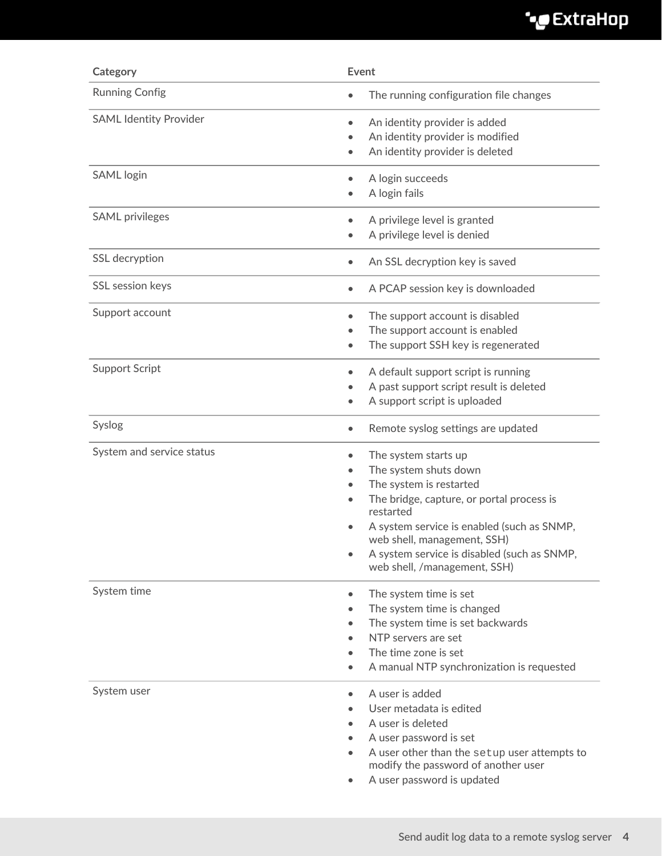## ExtraHop ہے-

| Category                      | Event                                                                                                                                                                                                                                                                                                       |
|-------------------------------|-------------------------------------------------------------------------------------------------------------------------------------------------------------------------------------------------------------------------------------------------------------------------------------------------------------|
| <b>Running Config</b>         | The running configuration file changes<br>$\bullet$                                                                                                                                                                                                                                                         |
| <b>SAML Identity Provider</b> | An identity provider is added<br>$\bullet$<br>An identity provider is modified<br>$\bullet$<br>An identity provider is deleted<br>$\bullet$                                                                                                                                                                 |
| <b>SAML</b> login             | A login succeeds<br>$\bullet$<br>A login fails                                                                                                                                                                                                                                                              |
| <b>SAML</b> privileges        | A privilege level is granted<br>$\bullet$<br>A privilege level is denied<br>$\bullet$                                                                                                                                                                                                                       |
| SSL decryption                | An SSL decryption key is saved<br>$\bullet$                                                                                                                                                                                                                                                                 |
| SSL session keys              | A PCAP session key is downloaded<br>$\bullet$                                                                                                                                                                                                                                                               |
| Support account               | The support account is disabled<br>$\bullet$<br>The support account is enabled<br>The support SSH key is regenerated<br>$\bullet$                                                                                                                                                                           |
| <b>Support Script</b>         | A default support script is running<br>$\bullet$<br>A past support script result is deleted<br>$\bullet$<br>A support script is uploaded<br>$\bullet$                                                                                                                                                       |
| Syslog                        | Remote syslog settings are updated<br>$\bullet$                                                                                                                                                                                                                                                             |
| System and service status     | The system starts up<br>$\bullet$<br>The system shuts down<br>The system is restarted<br>The bridge, capture, or portal process is<br>restarted<br>A system service is enabled (such as SNMP,<br>web shell, management, SSH)<br>A system service is disabled (such as SNMP,<br>web shell, /management, SSH) |
| System time                   | The system time is set<br>$\bullet$<br>The system time is changed<br>The system time is set backwards<br>$\bullet$<br>NTP servers are set<br>The time zone is set<br>A manual NTP synchronization is requested<br>$\bullet$                                                                                 |
| System user                   | A user is added<br>$\bullet$<br>User metadata is edited<br>A user is deleted<br>A user password is set<br>A user other than the setup user attempts to<br>modify the password of another user<br>A user password is updated                                                                                 |